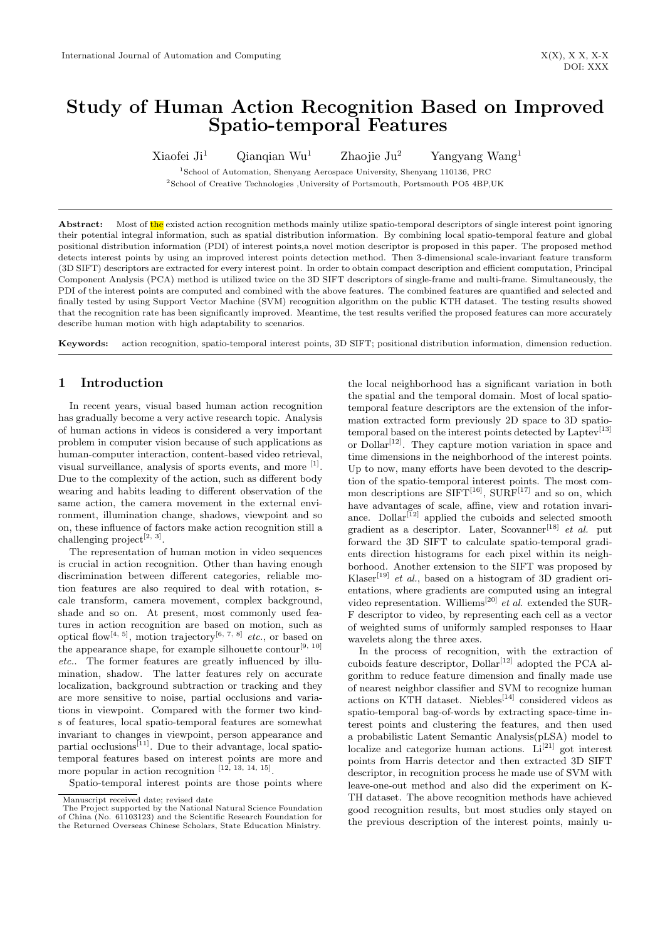# Study of Human Action Recognition Based on Improved Spatio-temporal Features

Xiaofei Ji<sup>1</sup> Qianqian Wu<sup>1</sup> Zhaojie Ju<sup>2</sup> Yangyang Wang<sup>1</sup>

<sup>1</sup>School of Automation, Shenyang Aerospace University, Shenyang 110136, PRC  $^{2}$ School of Creative Technologies ,University of Portsmouth, Portsmouth PO5 4BP,UK

Abstract: Most of the existed action recognition methods mainly utilize spatio-temporal descriptors of single interest point ignoring their potential integral information, such as spatial distribution information. By combining local spatio-temporal feature and global positional distribution information (PDI) of interest points,a novel motion descriptor is proposed in this paper. The proposed method detects interest points by using an improved interest points detection method. Then 3-dimensional scale-invariant feature transform (3D SIFT) descriptors are extracted for every interest point. In order to obtain compact description and efficient computation, Principal Component Analysis (PCA) method is utilized twice on the 3D SIFT descriptors of single-frame and multi-frame. Simultaneously, the PDI of the interest points are computed and combined with the above features. The combined features are quantified and selected and finally tested by using Support Vector Machine (SVM) recognition algorithm on the public KTH dataset. The testing results showed that the recognition rate has been significantly improved. Meantime, the test results verified the proposed features can more accurately describe human motion with high adaptability to scenarios.

Keywords: action recognition, spatio-temporal interest points, 3D SIFT; positional distribution information, dimension reduction.

# 1 Introduction

In recent years, visual based human action recognition has gradually become a very active research topic. Analysis of human actions in videos is considered a very important problem in computer vision because of such applications as human-computer interaction, content-based video retrieval, visual surveillance, analysis of sports events, and more [1]. Due to the complexity of the action, such as different body wearing and habits leading to different observation of the same action, the camera movement in the external environment, illumination change, shadows, viewpoint and so on, these influence of factors make action recognition still a challenging project<sup>[2, 3]</sup>.

The representation of human motion in video sequences is crucial in action recognition. Other than having enough discrimination between different categories, reliable motion features are also required to deal with rotation, scale transform, camera movement, complex background, shade and so on. At present, most commonly used features in action recognition are based on motion, such as optical flow<sup>[4, 5]</sup>, motion trajectory<sup>[6, 7, 8]</sup> etc., or based on the appearance shape, for example silhouette contour<sup>[9, 10]</sup> etc.. The former features are greatly influenced by illumination, shadow. The latter features rely on accurate localization, background subtraction or tracking and they are more sensitive to noise, partial occlusions and variations in viewpoint. Compared with the former two kinds of features, local spatio-temporal features are somewhat invariant to changes in viewpoint, person appearance and partial occlusions<sup>[11]</sup>. Due to their advantage, local spatiotemporal features based on interest points are more and more popular in action recognition  $[12, 13, 14, 15]$ .

the local neighborhood has a significant variation in both the spatial and the temporal domain. Most of local spatiotemporal feature descriptors are the extension of the information extracted form previously 2D space to 3D spatiotemporal based on the interest points detected by Laptev<sup>[13]</sup> or  $\text{Dollar}^{[12]}$ . They capture motion variation in space and time dimensions in the neighborhood of the interest points. Up to now, many efforts have been devoted to the description of the spatio-temporal interest points. The most common descriptions are  $SIFT<sup>[16]</sup>$ ,  $SURF<sup>[17]</sup>$  and so on, which have advantages of scale, affine, view and rotation invariance. Dollar<sup>[12]</sup> applied the cuboids and selected smooth gradient as a descriptor. Later, Scovanner<sup>[18]</sup> et al. put forward the 3D SIFT to calculate spatio-temporal gradients direction histograms for each pixel within its neighborhood. Another extension to the SIFT was proposed by Klaser<sup>[19]</sup> *et al.*, based on a histogram of 3D gradient orientations, where gradients are computed using an integral video representation. Williems<sup>[20]</sup> et al. extended the SUR-F descriptor to video, by representing each cell as a vector of weighted sums of uniformly sampled responses to Haar wavelets along the three axes.

In the process of recognition, with the extraction of cuboids feature descriptor,  $Dollar^{[12]}$  adopted the PCA algorithm to reduce feature dimension and finally made use of nearest neighbor classifier and SVM to recognize human actions on KTH dataset. Niebles<sup>[14]</sup> considered videos as spatio-temporal bag-of-words by extracting space-time interest points and clustering the features, and then used a probabilistic Latent Semantic Analysis(pLSA) model to localize and categorize human actions.  $Li^{[21]}$  got interest points from Harris detector and then extracted 3D SIFT descriptor, in recognition process he made use of SVM with leave-one-out method and also did the experiment on K-TH dataset. The above recognition methods have achieved good recognition results, but most studies only stayed on the previous description of the interest points, mainly u-

Spatio-temporal interest points are those points where Manuscript received date; revised date

The Project supported by the National Natural Science Foundation of China (No. 61103123) and the Scientific Research Foundation for the Returned Overseas Chinese Scholars, State Education Ministry.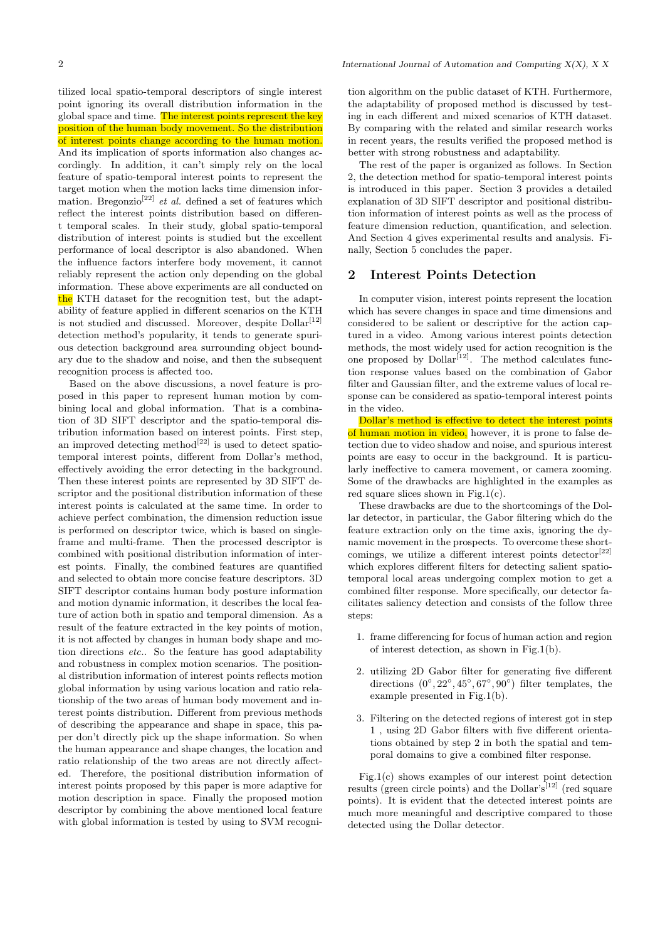tilized local spatio-temporal descriptors of single interest point ignoring its overall distribution information in the global space and time. The interest points represent the key position of the human body movement. So the distribution of interest points change according to the human motion. And its implication of sports information also changes accordingly. In addition, it can't simply rely on the local feature of spatio-temporal interest points to represent the target motion when the motion lacks time dimension information. Bregonzio<sup>[22]</sup> et al. defined a set of features which reflect the interest points distribution based on different temporal scales. In their study, global spatio-temporal distribution of interest points is studied but the excellent performance of local descriptor is also abandoned. When the influence factors interfere body movement, it cannot reliably represent the action only depending on the global information. These above experiments are all conducted on the KTH dataset for the recognition test, but the adaptability of feature applied in different scenarios on the KTH is not studied and discussed. Moreover, despite  $Dollar^{[12]}$ detection method's popularity, it tends to generate spurious detection background area surrounding object boundary due to the shadow and noise, and then the subsequent recognition process is affected too.

Based on the above discussions, a novel feature is proposed in this paper to represent human motion by combining local and global information. That is a combination of 3D SIFT descriptor and the spatio-temporal distribution information based on interest points. First step, an improved detecting method<sup>[22]</sup> is used to detect spatiotemporal interest points, different from Dollar's method, effectively avoiding the error detecting in the background. Then these interest points are represented by 3D SIFT descriptor and the positional distribution information of these interest points is calculated at the same time. In order to achieve perfect combination, the dimension reduction issue is performed on descriptor twice, which is based on singleframe and multi-frame. Then the processed descriptor is combined with positional distribution information of interest points. Finally, the combined features are quantified and selected to obtain more concise feature descriptors. 3D SIFT descriptor contains human body posture information and motion dynamic information, it describes the local feature of action both in spatio and temporal dimension. As a result of the feature extracted in the key points of motion, it is not affected by changes in human body shape and motion directions etc.. So the feature has good adaptability and robustness in complex motion scenarios. The positional distribution information of interest points reflects motion global information by using various location and ratio relationship of the two areas of human body movement and interest points distribution. Different from previous methods of describing the appearance and shape in space, this paper don't directly pick up the shape information. So when the human appearance and shape changes, the location and ratio relationship of the two areas are not directly affected. Therefore, the positional distribution information of interest points proposed by this paper is more adaptive for motion description in space. Finally the proposed motion descriptor by combining the above mentioned local feature with global information is tested by using to SVM recognition algorithm on the public dataset of KTH. Furthermore, the adaptability of proposed method is discussed by testing in each different and mixed scenarios of KTH dataset. By comparing with the related and similar research works in recent years, the results verified the proposed method is better with strong robustness and adaptability.

The rest of the paper is organized as follows. In Section 2, the detection method for spatio-temporal interest points is introduced in this paper. Section 3 provides a detailed explanation of 3D SIFT descriptor and positional distribution information of interest points as well as the process of feature dimension reduction, quantification, and selection. And Section 4 gives experimental results and analysis. Finally, Section 5 concludes the paper.

### 2 Interest Points Detection

In computer vision, interest points represent the location which has severe changes in space and time dimensions and considered to be salient or descriptive for the action captured in a video. Among various interest points detection methods, the most widely used for action recognition is the one proposed by  $\text{Dollar}^{\left[12\right]}$ . The method calculates function response values based on the combination of Gabor filter and Gaussian filter, and the extreme values of local response can be considered as spatio-temporal interest points in the video.

Dollar's method is effective to detect the interest points of human motion in video, however, it is prone to false detection due to video shadow and noise, and spurious interest points are easy to occur in the background. It is particularly ineffective to camera movement, or camera zooming. Some of the drawbacks are highlighted in the examples as red square slices shown in Fig.1(c).

These drawbacks are due to the shortcomings of the Dollar detector, in particular, the Gabor filtering which do the feature extraction only on the time axis, ignoring the dynamic movement in the prospects. To overcome these shortcomings, we utilize a different interest points  $\text{detector}^{[22]}$ which explores different filters for detecting salient spatiotemporal local areas undergoing complex motion to get a combined filter response. More specifically, our detector facilitates saliency detection and consists of the follow three steps:

- 1. frame differencing for focus of human action and region of interest detection, as shown in Fig.1(b).
- 2. utilizing 2D Gabor filter for generating five different directions  $(0^{\circ}, 22^{\circ}, 45^{\circ}, 67^{\circ}, 90^{\circ})$  filter templates, the example presented in Fig.1(b).
- 3. Filtering on the detected regions of interest got in step 1 , using 2D Gabor filters with five different orientations obtained by step 2 in both the spatial and temporal domains to give a combined filter response.

Fig.1(c) shows examples of our interest point detection results (green circle points) and the Dollar's<sup>[12]</sup> (red square points). It is evident that the detected interest points are much more meaningful and descriptive compared to those detected using the Dollar detector.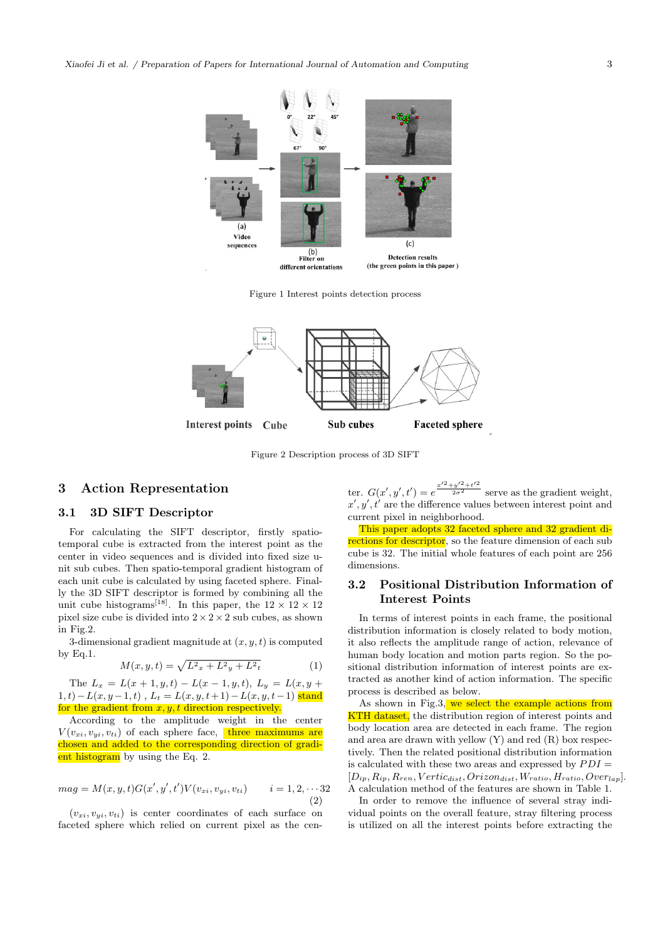

Figure 1 Interest points detection process



Figure 2 Description process of 3D SIFT

### 3 Action Representation

# 3.1 3D SIFT Descriptor

For calculating the SIFT descriptor, firstly spatiotemporal cube is extracted from the interest point as the center in video sequences and is divided into fixed size unit sub cubes. Then spatio-temporal gradient histogram of each unit cube is calculated by using faceted sphere. Finally the 3D SIFT descriptor is formed by combining all the unit cube histograms<sup>[18]</sup>. In this paper, the  $12 \times 12 \times 12$ pixel size cube is divided into  $2 \times 2 \times 2$  sub cubes, as shown in Fig.2.

3-dimensional gradient magnitude at  $(x, y, t)$  is computed by Eq.1.

$$
M(x, y, t) = \sqrt{L^2x + L^2y + L^2t}
$$
 (1)

The  $L_x = L(x+1, y, t) - L(x-1, y, t), L_y = L(x, y +$  $1, t)-L(x, y-1, t)$ ,  $L_t = L(x, y, t+1)-L(x, y, t-1)$  stand for the gradient from  $x, y, t$  direction respectively.

According to the amplitude weight in the center  $V(v_{xi}, v_{yi}, v_{ti})$  of each sphere face, three maximums are chosen and added to the corresponding direction of gradient histogram by using the Eq. 2.

$$
mag = M(x, y, t)G(x', y', t')V(v_{xi}, v_{yi}, v_{ti}) \qquad i = 1, 2, \cdots 32
$$
\n(2)

 $(v_{xi}, v_{yi}, v_{ti})$  is center coordinates of each surface on faceted sphere which relied on current pixel as the cen-

ter.  $G(x', y', t') = e^{\frac{x'^2 + y'^2 + t'^2}{2\sigma^2}}$  serve as the gradient weight,  $x', y', t'$  are the difference values between interest point and current pixel in neighborhood.

This paper adopts 32 faceted sphere and 32 gradient directions for descriptor, so the feature dimension of each sub cube is 32. The initial whole features of each point are 256 dimensions.

## 3.2 Positional Distribution Information of Interest Points

In terms of interest points in each frame, the positional distribution information is closely related to body motion, it also reflects the amplitude range of action, relevance of human body location and motion parts region. So the positional distribution information of interest points are extracted as another kind of action information. The specific process is described as below.

As shown in Fig.3, we select the example actions from KTH dataset, the distribution region of interest points and body location area are detected in each frame. The region and area are drawn with yellow (Y) and red (R) box respectively. Then the related positional distribution information is calculated with these two areas and expressed by  $PDI =$  $[D_{ip}, R_{ip}, R_{ren}, Vertic_{dist}, Orizon_{dist}, W_{ratio}, H_{ratio}, Overla_p].$ A calculation method of the features are shown in Table 1.

In order to remove the influence of several stray individual points on the overall feature, stray filtering process is utilized on all the interest points before extracting the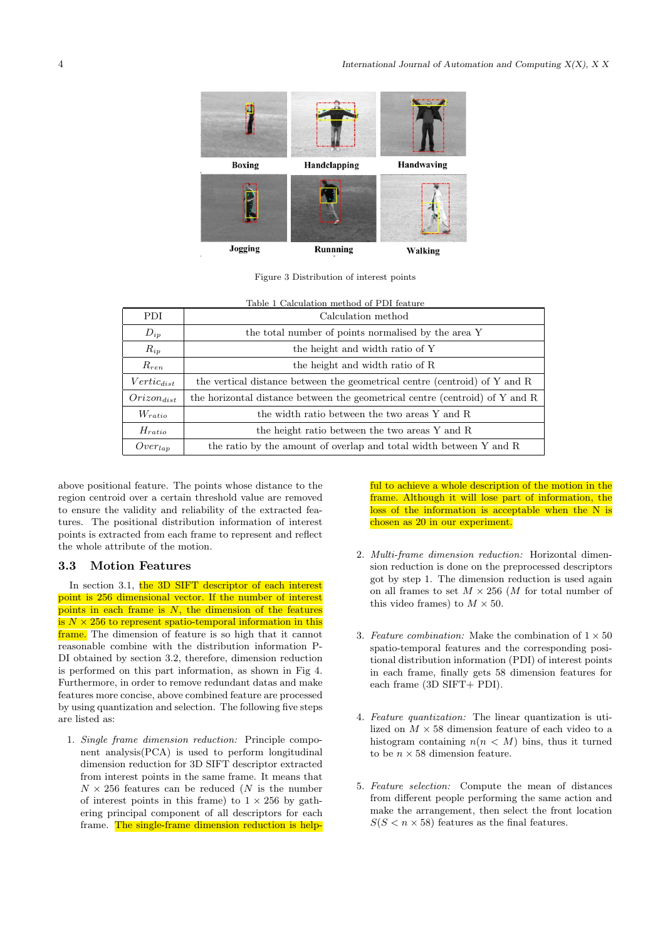

Figure 3 Distribution of interest points

| PDI.                | Table 1 Calculation method of PDI feature<br>Calculation method              |  |  |
|---------------------|------------------------------------------------------------------------------|--|--|
| $D_{ip}$            | the total number of points normalised by the area Y                          |  |  |
| $R_{ip}$            | the height and width ratio of Y                                              |  |  |
| $R_{ren}$           | the height and width ratio of R                                              |  |  |
| $Vertic_{dist}$     | the vertical distance between the geometrical centre (centroid) of Y and R   |  |  |
| $Orizon_{dist}$     | the horizontal distance between the geometrical centre (centroid) of Y and R |  |  |
| $W_{ratio}$         | the width ratio between the two areas Y and R                                |  |  |
| $H_{ratio}$         | the height ratio between the two areas Y and R                               |  |  |
| Over <sub>lap</sub> | the ratio by the amount of overlap and total width between Y and R           |  |  |

above positional feature. The points whose distance to the region centroid over a certain threshold value are removed to ensure the validity and reliability of the extracted features. The positional distribution information of interest points is extracted from each frame to represent and reflect the whole attribute of the motion.

### 3.3 Motion Features

In section 3.1, the 3D SIFT descriptor of each interest point is 256 dimensional vector. If the number of interest points in each frame is  $N$ , the dimension of the features is  $N \times 256$  to represent spatio-temporal information in this frame. The dimension of feature is so high that it cannot reasonable combine with the distribution information P-DI obtained by section 3.2, therefore, dimension reduction is performed on this part information, as shown in Fig 4. Furthermore, in order to remove redundant datas and make features more concise, above combined feature are processed by using quantization and selection. The following five steps are listed as:

1. Single frame dimension reduction: Principle component analysis(PCA) is used to perform longitudinal dimension reduction for 3D SIFT descriptor extracted from interest points in the same frame. It means that  $N \times 256$  features can be reduced (N is the number of interest points in this frame) to  $1 \times 256$  by gathering principal component of all descriptors for each frame. The single-frame dimension reduction is helpful to achieve a whole description of the motion in the frame. Although it will lose part of information, the loss of the information is acceptable when the N is chosen as 20 in our experiment.

- 2. Multi-frame dimension reduction: Horizontal dimension reduction is done on the preprocessed descriptors got by step 1. The dimension reduction is used again on all frames to set  $M \times 256$  (*M* for total number of this video frames) to  $M \times 50$ .
- 3. Feature combination: Make the combination of  $1 \times 50$ spatio-temporal features and the corresponding positional distribution information (PDI) of interest points in each frame, finally gets 58 dimension features for each frame (3D SIFT+ PDI).
- 4. Feature quantization: The linear quantization is utilized on  $M \times 58$  dimension feature of each video to a histogram containing  $n(n \lt M)$  bins, thus it turned to be  $n \times 58$  dimension feature.
- 5. Feature selection: Compute the mean of distances from different people performing the same action and make the arrangement, then select the front location  $S(S \leq n \times 58)$  features as the final features.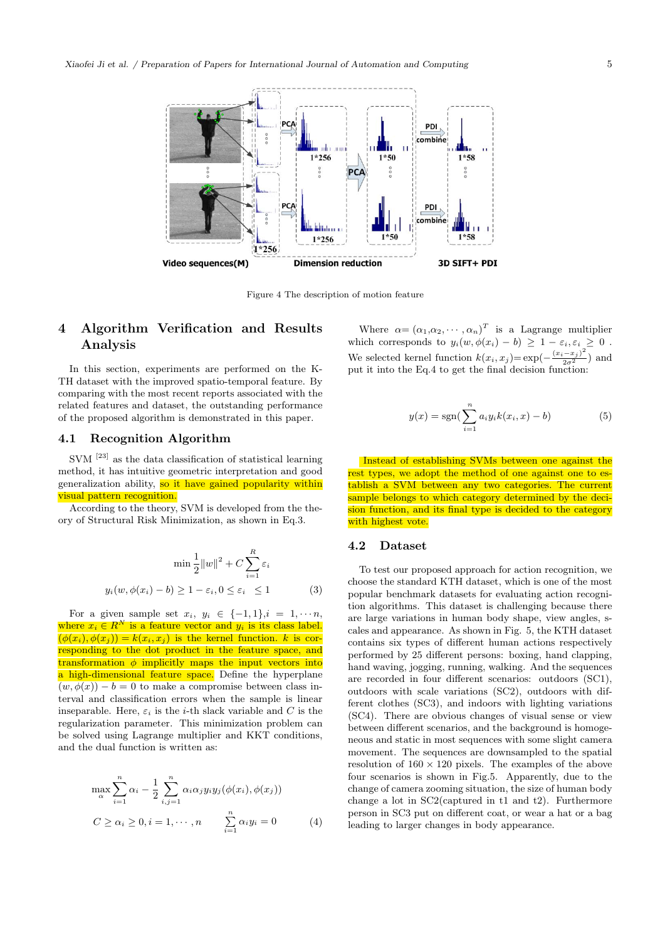

Figure 4 The description of motion feature

# 4 Algorithm Verification and Results Analysis

In this section, experiments are performed on the K-TH dataset with the improved spatio-temporal feature. By comparing with the most recent reports associated with the related features and dataset, the outstanding performance of the proposed algorithm is demonstrated in this paper.

## 4.1 Recognition Algorithm

 $\mathrm{SVM}$   $^{[23]}$  as the data classification of statistical learning method, it has intuitive geometric interpretation and good generalization ability, so it have gained popularity within visual pattern recognition.

According to the theory, SVM is developed from the theory of Structural Risk Minimization, as shown in Eq.3.

$$
\min \frac{1}{2} ||w||^2 + C \sum_{i=1}^R \varepsilon_i
$$
  

$$
y_i(w, \phi(x_i) - b) \ge 1 - \varepsilon_i, 0 \le \varepsilon_i \le 1
$$
 (3)

For a given sample set  $x_i, y_i \in \{-1,1\}, i = 1, \cdots n$ , where  $x_i \in R^N$  is a feature vector and  $y_i$  is its class label.  $(\phi(x_i), \phi(x_j)) = k(x_i, x_j)$  is the kernel function. k is corresponding to the dot product in the feature space, and transformation  $\phi$  implicitly maps the input vectors into a high-dimensional feature space. Define the hyperplane  $(w, \phi(x)) - b = 0$  to make a compromise between class interval and classification errors when the sample is linear inseparable. Here,  $\varepsilon_i$  is the *i*-th slack variable and C is the regularization parameter. This minimization problem can be solved using Lagrange multiplier and KKT conditions, and the dual function is written as:

$$
\max_{\alpha} \sum_{i=1}^{n} \alpha_i - \frac{1}{2} \sum_{i,j=1}^{n} \alpha_i \alpha_j y_i y_j (\phi(x_i), \phi(x_j))
$$
  

$$
C \ge \alpha_i \ge 0, i = 1, \cdots, n \qquad \sum_{i=1}^{n} \alpha_i y_i = 0
$$
 (4)

Where  $\alpha = (\alpha_1, \alpha_2, \cdots, \alpha_n)^T$  is a Lagrange multiplier which corresponds to  $y_i(w, \phi(x_i) - b) \geq 1 - \varepsilon_i, \varepsilon_i \geq 0$ . We selected kernel function  $k(x_i, x_j) = \exp(-\frac{(x_i - x_j)^2}{2\sigma^2})$  and put it into the Eq.4 to get the final decision function:

$$
y(x) = \text{sgn}(\sum_{i=1}^{n} a_i y_i k(x_i, x) - b)
$$
 (5)

Instead of establishing SVMs between one against the rest types, we adopt the method of one against one to establish a SVM between any two categories. The current sample belongs to which category determined by the decision function, and its final type is decided to the category with highest vote.

### 4.2 Dataset

To test our proposed approach for action recognition, we choose the standard KTH dataset, which is one of the most popular benchmark datasets for evaluating action recognition algorithms. This dataset is challenging because there are large variations in human body shape, view angles, scales and appearance. As shown in Fig. 5, the KTH dataset contains six types of different human actions respectively performed by 25 different persons: boxing, hand clapping, hand waving, jogging, running, walking. And the sequences are recorded in four different scenarios: outdoors (SC1), outdoors with scale variations (SC2), outdoors with different clothes (SC3), and indoors with lighting variations (SC4). There are obvious changes of visual sense or view between different scenarios, and the background is homogeneous and static in most sequences with some slight camera movement. The sequences are downsampled to the spatial resolution of  $160 \times 120$  pixels. The examples of the above four scenarios is shown in Fig.5. Apparently, due to the change of camera zooming situation, the size of human body change a lot in SC2(captured in t1 and t2). Furthermore person in SC3 put on different coat, or wear a hat or a bag leading to larger changes in body appearance.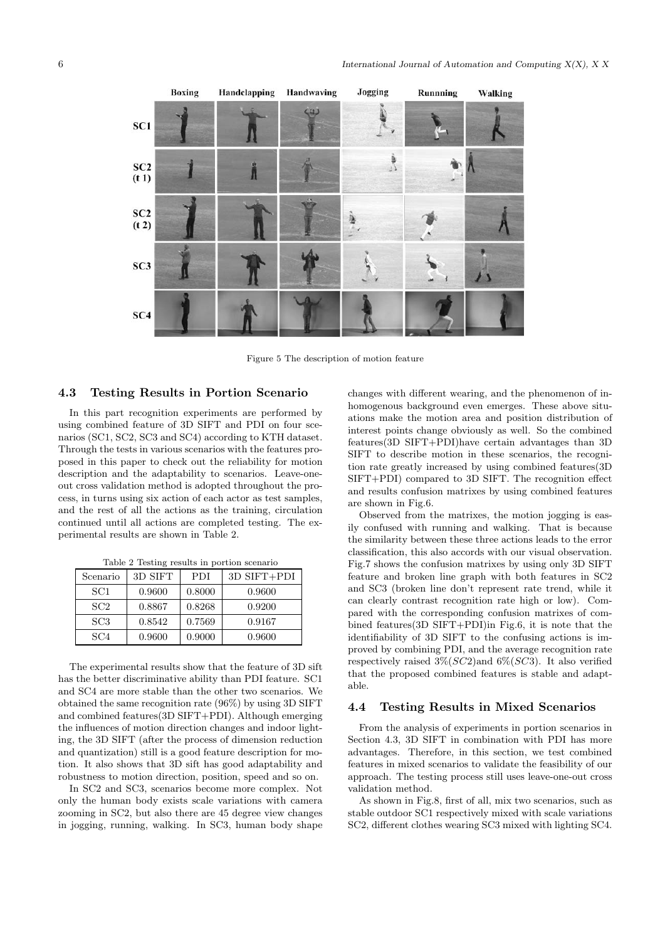

Figure 5 The description of motion feature

#### 4.3 Testing Results in Portion Scenario

In this part recognition experiments are performed by using combined feature of 3D SIFT and PDI on four scenarios (SC1, SC2, SC3 and SC4) according to KTH dataset. Through the tests in various scenarios with the features proposed in this paper to check out the reliability for motion description and the adaptability to scenarios. Leave-oneout cross validation method is adopted throughout the process, in turns using six action of each actor as test samples, and the rest of all the actions as the training, circulation continued until all actions are completed testing. The experimental results are shown in Table 2.

| Scenario        | 3D SIFT | <b>PDI</b> | $3D$ SIFT+PDI |
|-----------------|---------|------------|---------------|
| SC <sub>1</sub> | 0.9600  | 0.8000     | 0.9600        |
| SC2             | 0.8867  | 0.8268     | 0.9200        |
| SC <sub>3</sub> | 0.8542  | 0.7569     | 0.9167        |
| SC <sub>4</sub> | 0.9600  | 0.9000     | 0.9600        |

Table 2 Testing results in portion scenario

The experimental results show that the feature of 3D sift has the better discriminative ability than PDI feature. SC1 and SC4 are more stable than the other two scenarios. We obtained the same recognition rate (96%) by using 3D SIFT and combined features(3D SIFT+PDI). Although emerging the influences of motion direction changes and indoor lighting, the 3D SIFT (after the process of dimension reduction and quantization) still is a good feature description for motion. It also shows that 3D sift has good adaptability and robustness to motion direction, position, speed and so on.

In SC2 and SC3, scenarios become more complex. Not only the human body exists scale variations with camera zooming in SC2, but also there are 45 degree view changes in jogging, running, walking. In SC3, human body shape changes with different wearing, and the phenomenon of inhomogenous background even emerges. These above situations make the motion area and position distribution of interest points change obviously as well. So the combined features(3D SIFT+PDI)have certain advantages than 3D SIFT to describe motion in these scenarios, the recognition rate greatly increased by using combined features(3D SIFT+PDI) compared to 3D SIFT. The recognition effect and results confusion matrixes by using combined features are shown in Fig.6.

Observed from the matrixes, the motion jogging is easily confused with running and walking. That is because the similarity between these three actions leads to the error classification, this also accords with our visual observation. Fig.7 shows the confusion matrixes by using only 3D SIFT feature and broken line graph with both features in SC2 and SC3 (broken line don't represent rate trend, while it can clearly contrast recognition rate high or low). Compared with the corresponding confusion matrixes of combined features(3D SIFT+PDI)in Fig.6, it is note that the identifiability of 3D SIFT to the confusing actions is improved by combining PDI, and the average recognition rate respectively raised  $3\% (SC2)$  and  $6\% (SC3)$ . It also verified that the proposed combined features is stable and adaptable.

### 4.4 Testing Results in Mixed Scenarios

From the analysis of experiments in portion scenarios in Section 4.3, 3D SIFT in combination with PDI has more advantages. Therefore, in this section, we test combined features in mixed scenarios to validate the feasibility of our approach. The testing process still uses leave-one-out cross validation method.

As shown in Fig.8, first of all, mix two scenarios, such as stable outdoor SC1 respectively mixed with scale variations SC2, different clothes wearing SC3 mixed with lighting SC4.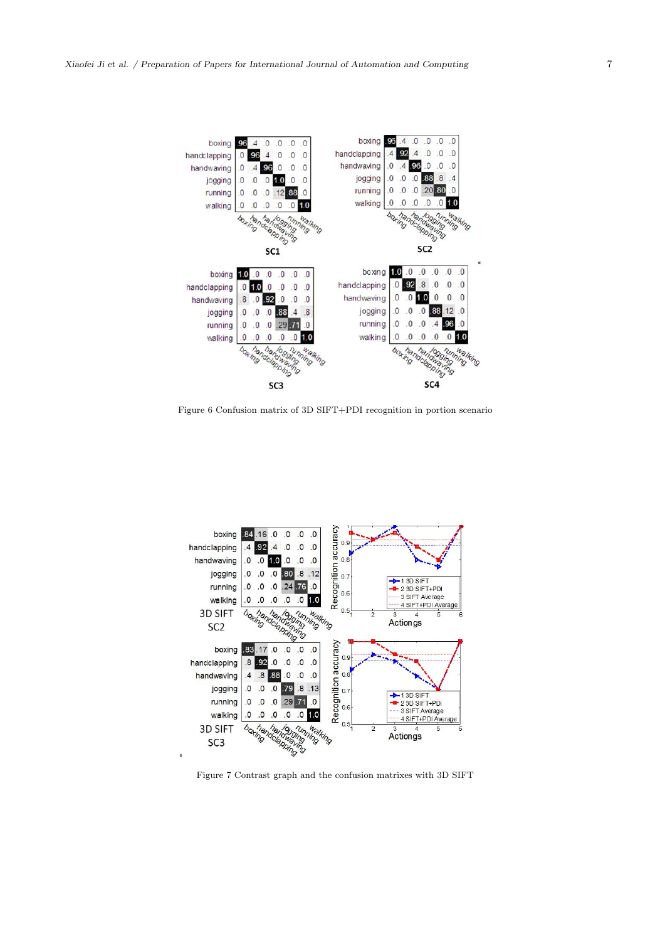

Figure 6 Confusion matrix of 3D SIFT+PDI recognition in portion scenario



Figure 7 Contrast graph and the confusion matrixes with 3D SIFT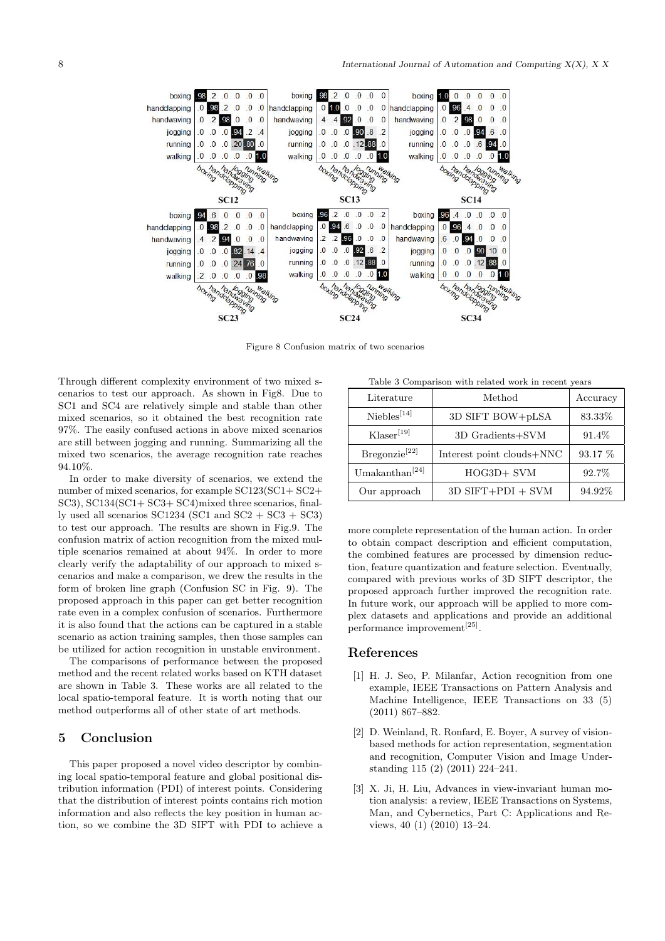

Figure 8 Confusion matrix of two scenarios

Through different complexity environment of two mixed scenarios to test our approach. As shown in Fig8. Due to SC1 and SC4 are relatively simple and stable than other mixed scenarios, so it obtained the best recognition rate 97%. The easily confused actions in above mixed scenarios are still between jogging and running. Summarizing all the mixed two scenarios, the average recognition rate reaches 94.10%.

In order to make diversity of scenarios, we extend the number of mixed scenarios, for example SC123(SC1+ SC2+ SC3), SC134(SC1+ SC3+ SC4)mixed three scenarios, finally used all scenarios  $SC1234$  (SC1 and  $SC2 + SC3 + SC3$ ) to test our approach. The results are shown in Fig.9. The confusion matrix of action recognition from the mixed multiple scenarios remained at about 94%. In order to more clearly verify the adaptability of our approach to mixed scenarios and make a comparison, we drew the results in the form of broken line graph (Confusion SC in Fig. 9). The proposed approach in this paper can get better recognition rate even in a complex confusion of scenarios. Furthermore it is also found that the actions can be captured in a stable scenario as action training samples, then those samples can be utilized for action recognition in unstable environment.

The comparisons of performance between the proposed method and the recent related works based on KTH dataset are shown in Table 3. These works are all related to the local spatio-temporal feature. It is worth noting that our method outperforms all of other state of art methods.

# 5 Conclusion

This paper proposed a novel video descriptor by combining local spatio-temporal feature and global positional distribution information (PDI) of interest points. Considering that the distribution of interest points contains rich motion information and also reflects the key position in human action, so we combine the 3D SIFT with PDI to achieve a

Table 3 Comparison with related work in recent years

| Literature                | Method                    | Accuracy |
|---------------------------|---------------------------|----------|
| $\text{Niebles}^{[14]}$   | 3D SIFT BOW+pLSA          | 83.33%   |
| Klaser <sup>[19]</sup>    | 3D Gradients+SVM          | 91.4\%   |
| Bregonzie <sup>[22]</sup> | Interest point clouds+NNC | 93.17 %  |
| Umakanthan $^{[24]}$      | HOG3D+ SVM                | 92.7%    |
| Our approach              | $3D$ SIFT+PDI + SVM       | 94.92%   |

more complete representation of the human action. In order to obtain compact description and efficient computation, the combined features are processed by dimension reduction, feature quantization and feature selection. Eventually, compared with previous works of 3D SIFT descriptor, the proposed approach further improved the recognition rate. In future work, our approach will be applied to more complex datasets and applications and provide an additional performance improvement<sup>[25]</sup>.

# References

- [1] H. J. Seo, P. Milanfar, Action recognition from one example, IEEE Transactions on Pattern Analysis and Machine Intelligence, IEEE Transactions on 33 (5) (2011) 867–882.
- [2] D. Weinland, R. Ronfard, E. Boyer, A survey of visionbased methods for action representation, segmentation and recognition, Computer Vision and Image Understanding 115 (2) (2011) 224–241.
- [3] X. Ji, H. Liu, Advances in view-invariant human motion analysis: a review, IEEE Transactions on Systems, Man, and Cybernetics, Part C: Applications and Reviews, 40 (1) (2010) 13–24.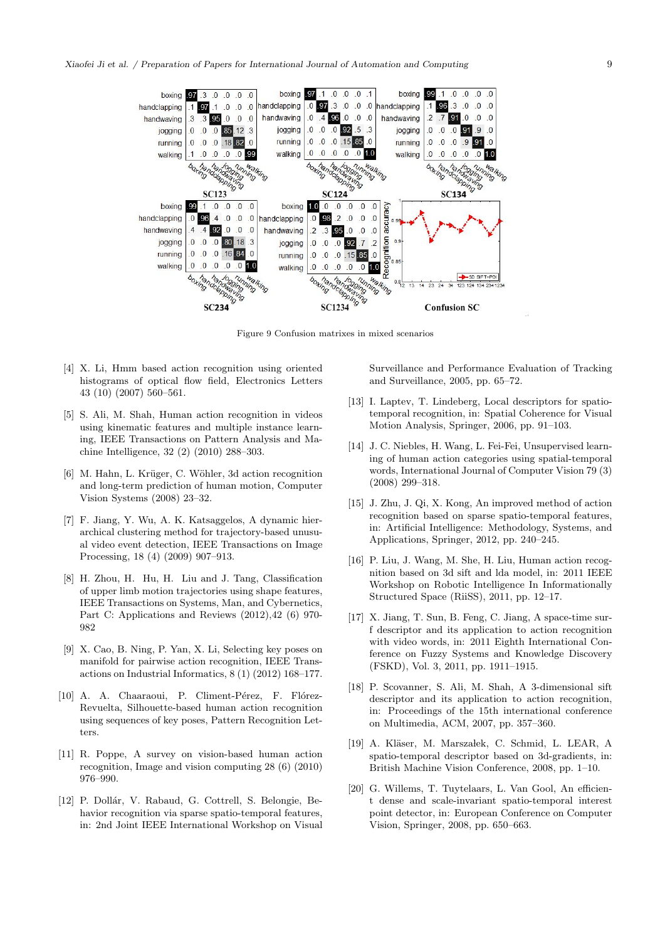

Figure 9 Confusion matrixes in mixed scenarios

- [4] X. Li, Hmm based action recognition using oriented histograms of optical flow field, Electronics Letters 43 (10) (2007) 560–561.
- [5] S. Ali, M. Shah, Human action recognition in videos using kinematic features and multiple instance learning, IEEE Transactions on Pattern Analysis and Machine Intelligence, 32 (2) (2010) 288–303.
- [6] M. Hahn, L. Krüger, C. Wöhler, 3d action recognition and long-term prediction of human motion, Computer Vision Systems (2008) 23–32.
- [7] F. Jiang, Y. Wu, A. K. Katsaggelos, A dynamic hierarchical clustering method for trajectory-based unusual video event detection, IEEE Transactions on Image Processing, 18 (4) (2009) 907–913.
- [8] H. Zhou, H. Hu, H. Liu and J. Tang, Classification of upper limb motion trajectories using shape features, IEEE Transactions on Systems, Man, and Cybernetics, Part C: Applications and Reviews (2012),42 (6) 970- 982
- [9] X. Cao, B. Ning, P. Yan, X. Li, Selecting key poses on manifold for pairwise action recognition, IEEE Transactions on Industrial Informatics, 8 (1) (2012) 168–177.
- [10] A. A. Chaaraoui, P. Climent-Pérez, F. Flórez-Revuelta, Silhouette-based human action recognition using sequences of key poses, Pattern Recognition Letters.
- [11] R. Poppe, A survey on vision-based human action recognition, Image and vision computing 28 (6) (2010) 976–990.
- [12] P. Dollár, V. Rabaud, G. Cottrell, S. Belongie, Behavior recognition via sparse spatio-temporal features, in: 2nd Joint IEEE International Workshop on Visual

Surveillance and Performance Evaluation of Tracking and Surveillance, 2005, pp. 65–72.

- [13] I. Laptev, T. Lindeberg, Local descriptors for spatiotemporal recognition, in: Spatial Coherence for Visual Motion Analysis, Springer, 2006, pp. 91–103.
- [14] J. C. Niebles, H. Wang, L. Fei-Fei, Unsupervised learning of human action categories using spatial-temporal words, International Journal of Computer Vision 79 (3) (2008) 299–318.
- [15] J. Zhu, J. Qi, X. Kong, An improved method of action recognition based on sparse spatio-temporal features, in: Artificial Intelligence: Methodology, Systems, and Applications, Springer, 2012, pp. 240–245.
- [16] P. Liu, J. Wang, M. She, H. Liu, Human action recognition based on 3d sift and lda model, in: 2011 IEEE Workshop on Robotic Intelligence In Informationally Structured Space (RiiSS), 2011, pp. 12–17.
- [17] X. Jiang, T. Sun, B. Feng, C. Jiang, A space-time surf descriptor and its application to action recognition with video words, in: 2011 Eighth International Conference on Fuzzy Systems and Knowledge Discovery (FSKD), Vol. 3, 2011, pp. 1911–1915.
- [18] P. Scovanner, S. Ali, M. Shah, A 3-dimensional sift descriptor and its application to action recognition, in: Proceedings of the 15th international conference on Multimedia, ACM, 2007, pp. 357–360.
- [19] A. Kläser, M. Marszałek, C. Schmid, L. LEAR, A spatio-temporal descriptor based on 3d-gradients, in: British Machine Vision Conference, 2008, pp. 1–10.
- [20] G. Willems, T. Tuytelaars, L. Van Gool, An efficient dense and scale-invariant spatio-temporal interest point detector, in: European Conference on Computer Vision, Springer, 2008, pp. 650–663.